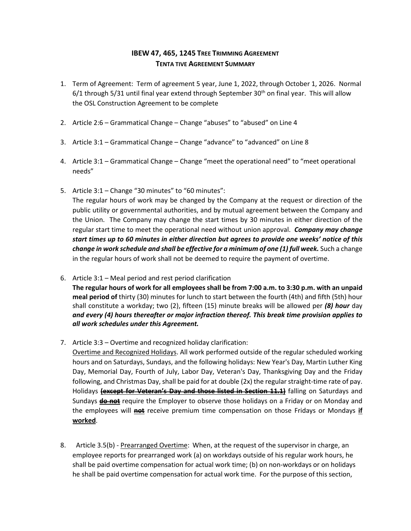## **IBEW 47, 465, 1245 TREE TRIMMING AGREEMENT TENTA TIVE AGREEMENT SUMMARY**

- 1. Term of Agreement: Term of agreement 5 year, June 1, 2022, through October 1, 2026. Normal  $6/1$  through 5/31 until final year extend through September 30<sup>th</sup> on final year. This will allow the OSL Construction Agreement to be complete
- 2. Article 2:6 Grammatical Change Change "abuses" to "abused" on Line 4
- 3. Article 3:1 Grammatical Change Change "advance" to "advanced" on Line 8
- 4. Article 3:1 Grammatical Change Change "meet the operational need" to "meet operational needs"
- 5. Article 3:1 Change "30 minutes" to "60 minutes":

The regular hours of work may be changed by the Company at the request or direction of the public utility or governmental authorities, and by mutual agreement between the Company and the Union. The Company may change the start times by 30 minutes in either direction of the regular start time to meet the operational need without union approval. *Company may change start times up to 60 minutes in either direction but agrees to provide one weeks' notice of this change in work schedule and shall be effective for a minimum of one (1) full week. Such a change* in the regular hours of work shall not be deemed to require the payment of overtime.

- 6. Article 3:1 Meal period and rest period clarification **The regular hours of work for all employees shall be from 7:00 a.m. to 3:30 p.m. with an unpaid meal period of** thirty (30) minutes for lunch to start between the fourth (4th) and fifth (5th) hour shall constitute a workday; two (2), fifteen (15) minute breaks will be allowed per *(8) hour* day *and every (4) hours thereafter or major infraction thereof. This break time provision applies to all work schedules under this Agreement.*
- 7. Article 3:3 Overtime and recognized holiday clarification:

Overtime and Recognized Holidays. All work performed outside of the regular scheduled working hours and on Saturdays, Sundays, and the following holidays: New Year's Day, Martin Luther King Day, Memorial Day, Fourth of July, Labor Day, Veteran's Day, Thanksgiving Day and the Friday following, and Christmas Day, shall be paid for at double (2x) the regular straight-time rate of pay. Holidays **(except for Veteran's Day and those listed in Section 11.1)** falling on Saturdays and Sundays **do not** require the Employer to observe those holidays on a Friday or on Monday and the employees will **not** receive premium time compensation on those Fridays or Mondays **if worked**.

8. Article 3.5(b) - Prearranged Overtime: When, at the request of the supervisor in charge, an employee reports for prearranged work (a) on workdays outside of his regular work hours, he shall be paid overtime compensation for actual work time; (b) on non-workdays or on holidays he shall be paid overtime compensation for actual work time. For the purpose of this section,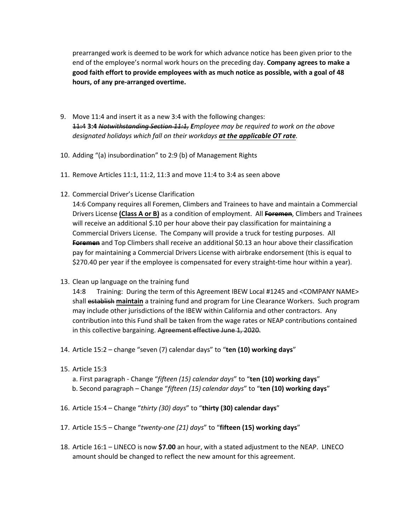prearranged work is deemed to be work for which advance notice has been given prior to the end of the employee's normal work hours on the preceding day. **Company agrees to make a good faith effort to provide employees with as much notice as possible, with a goal of 48 hours, of any pre-arranged overtime.** 

- 9. Move 11:4 and insert it as a new 3:4 with the following changes: 11:4 **3:4** *Notwithstanding Section 11:1, Employee may be required to work on the above designated holidays which fall on their workdays at the applicable OT rate.*
- 10. Adding "(a) insubordination" to 2:9 (b) of Management Rights
- 11. Remove Articles 11:1, 11:2, 11:3 and move 11:4 to 3:4 as seen above
- 12. Commercial Driver's License Clarification

14:6 Company requires all Foremen, Climbers and Trainees to have and maintain a Commercial Drivers License **(Class A or B)** as a condition of employment. All **Foremen**, Climbers and Trainees will receive an additional \$.10 per hour above their pay classification for maintaining a Commercial Drivers License. The Company will provide a truck for testing purposes. All **Foremen** and Top Climbers shall receive an additional \$0.13 an hour above their classification pay for maintaining a Commercial Drivers License with airbrake endorsement (this is equal to \$270.40 per year if the employee is compensated for every straight-time hour within a year).

13. Clean up language on the training fund

14:8 Training: During the term of this Agreement IBEW Local #1245 and <COMPANY NAME> shall establish **maintain** a training fund and program for Line Clearance Workers. Such program may include other jurisdictions of the IBEW within California and other contractors. Any contribution into this Fund shall be taken from the wage rates or NEAP contributions contained in this collective bargaining. Agreement effective June 1, 2020.

- 14. Article 15:2 change "seven (7) calendar days" to "**ten (10) working days**"
- 15. Article 15:3
	- a. First paragraph Change "*fifteen (15) calendar days*" to "**ten (10) working days**" b. Second paragraph – Change "*fifteen (15) calendar days*" to "**ten (10) working days**"
- 16. Article 15:4 Change "*thirty (30) days*" to "**thirty (30) calendar days**"
- 17. Article 15:5 Change "*twenty-one (21) days*" to "**fifteen (15) working days**"
- 18. Article 16:1 LINECO is now **\$7.00** an hour, with a stated adjustment to the NEAP. LINECO amount should be changed to reflect the new amount for this agreement.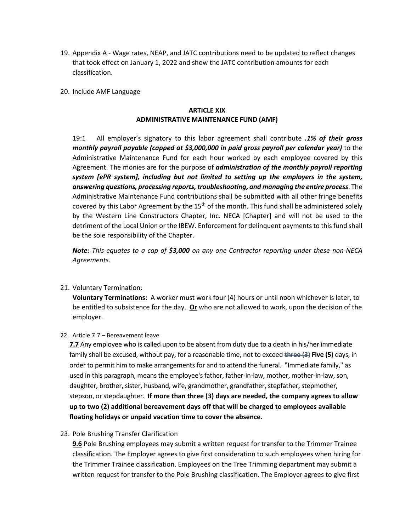- 19. Appendix A Wage rates, NEAP, and JATC contributions need to be updated to reflect changes that took effect on January 1, 2022 and show the JATC contribution amounts for each classification.
- 20. Include AMF Language

## **ARTICLE XIX ADMINISTRATIVE MAINTENANCE FUND (AMF)**

19:1 All employer's signatory to this labor agreement shall contribute *.1% of their gross monthly payroll payable (capped at \$3,000,000 in paid gross payroll per calendar year)* to the Administrative Maintenance Fund for each hour worked by each employee covered by this Agreement. The monies are for the purpose of *administration of the monthly payroll reporting system [ePR system], including but not limited to setting up the employers in the system, answering questions, processing reports,troubleshooting, and managing the entire process*. The Administrative Maintenance Fund contributions shall be submitted with all other fringe benefits covered by this Labor Agreement by the 15<sup>th</sup> of the month. This fund shall be administered solely by the Western Line Constructors Chapter, Inc. NECA [Chapter] and will not be used to the detriment of the Local Union or the IBEW. Enforcement for delinquent payments to this fund shall be the sole responsibility of the Chapter.

*Note: This equates to a cap of \$3,000 on any one Contractor reporting under these non-NECA Agreements.* 

21. Voluntary Termination:

**Voluntary Terminations:** A worker must work four (4) hours or until noon whichever is later, to be entitled to subsistence for the day. **Or** who are not allowed to work, upon the decision of the employer.

22. Article 7:7 – Bereavement leave

**7.7** Any employee who is called upon to be absent from duty due to a death in his/her immediate family shall be excused, without pay, for a reasonable time, not to exceed **three (3) Five (5)** days, in order to permit him to make arrangements for and to attend the funeral. "Immediate family," as used in this paragraph, means the employee's father, father-in-law, mother, mother-in-law, son, daughter, brother, sister, husband, wife, grandmother, grandfather, stepfather, stepmother, stepson, or stepdaughter. **If more than three (3) days are needed, the company agrees to allow up to two (2) additional bereavement days off that will be charged to employees available floating holidays or unpaid vacation time to cover the absence.** 

23. Pole Brushing Transfer Clarification

**9.6** Pole Brushing employees may submit a written request for transfer to the Trimmer Trainee classification. The Employer agrees to give first consideration to such employees when hiring for the Trimmer Trainee classification. Employees on the Tree Trimming department may submit a written request for transfer to the Pole Brushing classification. The Employer agrees to give first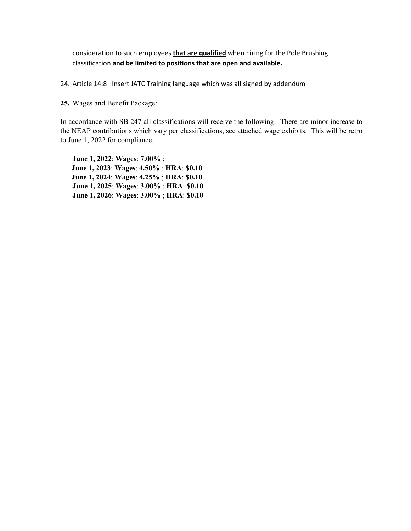consideration to such employees **that are qualified** when hiring for the Pole Brushing classification **and be limited to positions that are open and available.** 

24. Article 14:8 Insert JATC Training language which was all signed by addendum

**25.** Wages and Benefit Package:

In accordance with SB 247 all classifications will receive the following: There are minor increase to the NEAP contributions which vary per classifications, see attached wage exhibits. This will be retro to June 1, 2022 for compliance.

**June 1, 2022**: **Wages**: **7.00%** ;  **June 1, 2023**: **Wages**: **4.50%** ; **HRA**: **\$0.10 June 1, 2024**: **Wages**: **4.25%** ; **HRA**: **\$0.10 June 1, 2025**: **Wages**: **3.00%** ; **HRA**: **\$0.10 June 1, 2026**: **Wages**: **3.00%** ; **HRA**: **\$0.10**